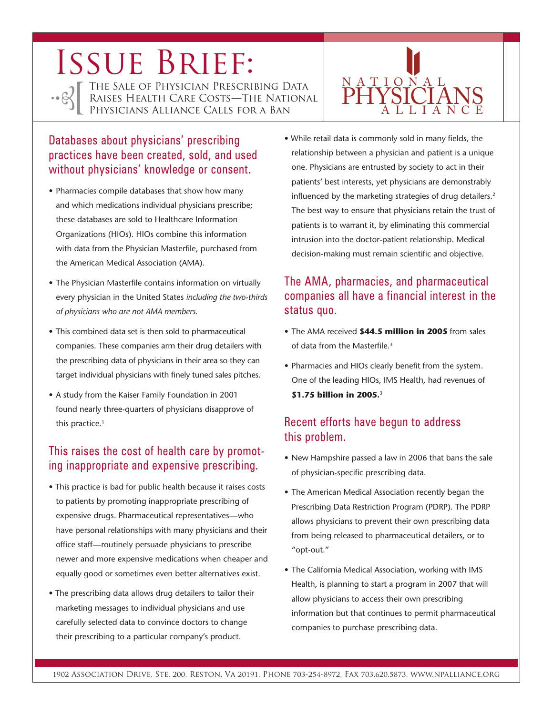# ISSUE BRIEF:

•• ESTITHE SALE OF PHYSICIAN PRESCRIBING DATA<br>RAISES HEALTH CARE COSTS—THE NATIONAL<br>PHYSICIANS ALLIANCE CALLS FOR A BAN

# Databases about physicians' prescribing practices have been created, sold, and used without physicians' knowledge or consent.

- Pharmacies compile databases that show how many and which medications individual physicians prescribe; these databases are sold to Healthcare Information Organizations (HIOs). HIOs combine this information with data from the Physician Masterfile, purchased from the American Medical Association (AMA).
- The Physician Masterfile contains information on virtually every physician in the United States *including the two-thirds of physicians who are not AMA members.*
- This combined data set is then sold to pharmaceutical companies. These companies arm their drug detailers with the prescribing data of physicians in their area so they can target individual physicians with finely tuned sales pitches.
- A study from the Kaiser Family Foundation in 2001 found nearly three-quarters of physicians disapprove of this practice.<sup>1</sup>

# This raises the cost of health care by promoting inappropriate and expensive prescribing.

- This practice is bad for public health because it raises costs to patients by promoting inappropriate prescribing of expensive drugs. Pharmaceutical representatives—who have personal relationships with many physicians and their office staff—routinely persuade physicians to prescribe newer and more expensive medications when cheaper and equally good or sometimes even better alternatives exist.
- The prescribing data allows drug detailers to tailor their marketing messages to individual physicians and use carefully selected data to convince doctors to change their prescribing to a particular company's product.

• While retail data is commonly sold in many fields, the relationship between a physician and patient is a unique one. Physicians are entrusted by society to act in their patients' best interests, yet physicians are demonstrably influenced by the marketing strategies of drug detailers.<sup>2</sup> The best way to ensure that physicians retain the trust of patients is to warrant it, by eliminating this commercial intrusion into the doctor-patient relationship. Medical decision-making must remain scientific and objective.

PHYSICIANS

A L L I A N C E

N A T I O N A L

# The AMA, pharmacies, and pharmaceutical companies all have a financial interest in the status quo.

- The AMA received **\$44.5 million in 2005** from sales of data from the Masterfile.3
- Pharmacies and HIOs clearly benefit from the system. One of the leading HIOs, IMS Health, had revenues of **\$1.75 billion in 2005.**<sup>3</sup>

### Recent efforts have begun to address this problem.

- New Hampshire passed a law in 2006 that bans the sale of physician-specific prescribing data.
- The American Medical Association recently began the Prescribing Data Restriction Program (PDRP). The PDRP allows physicians to prevent their own prescribing data from being released to pharmaceutical detailers, or to "opt-out."
- The California Medical Association, working with IMS Health, is planning to start a program in 2007 that will allow physicians to access their own prescribing information but that continues to permit pharmaceutical companies to purchase prescribing data.